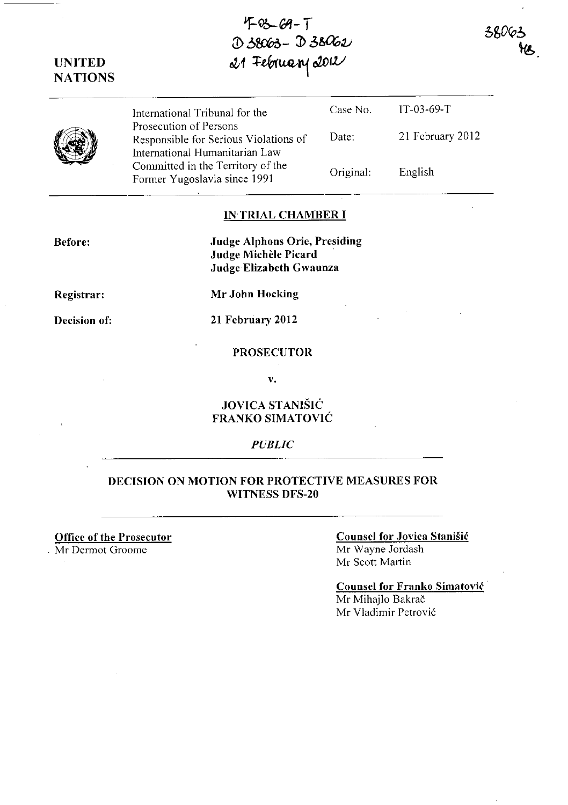**UNITED NATIONS**   $21$  February 2012 International Tribunal for the Prosecution of Persons Responsible for Serious Violations of International Humanitarian Law Committed in the Territory of the Former Yugoslavia since 1991 Case No. Date: Original: JT-03-69-T 21 February 2012 English

 $4-66-7$ 

:D b~- **:b 3&a;v** 

## IN TRIAL **CHAMBER I**

**Judge A1phons Orie, Presiding Judge MicheIe Picard**  Judge Elizabeth **Gwaunza** 

**Registrar:** 

**Before:** 

**Decision of:** 

**Mr John Hocking** 

**21 February 2012** 

**PROSECUTOR** 

v.

# **JOVICA ST ANISIC FRANKO SIMATOVIC**

## *PUBLIC*

# **DECISION ON MOTION FOR PROTECTIVE MEASURES FOR WITNESS DFS-20**

**Office of the Prosecutor** 

Mr Dermot Groome

#### **Counsel for Jovica StaniSic**  Mr Wayne Jordash Mr Scott Martin

380

## **Counsel for Franko Simatovic** . Mr Mihajlo Bakrač Mr Vladimir Petrović